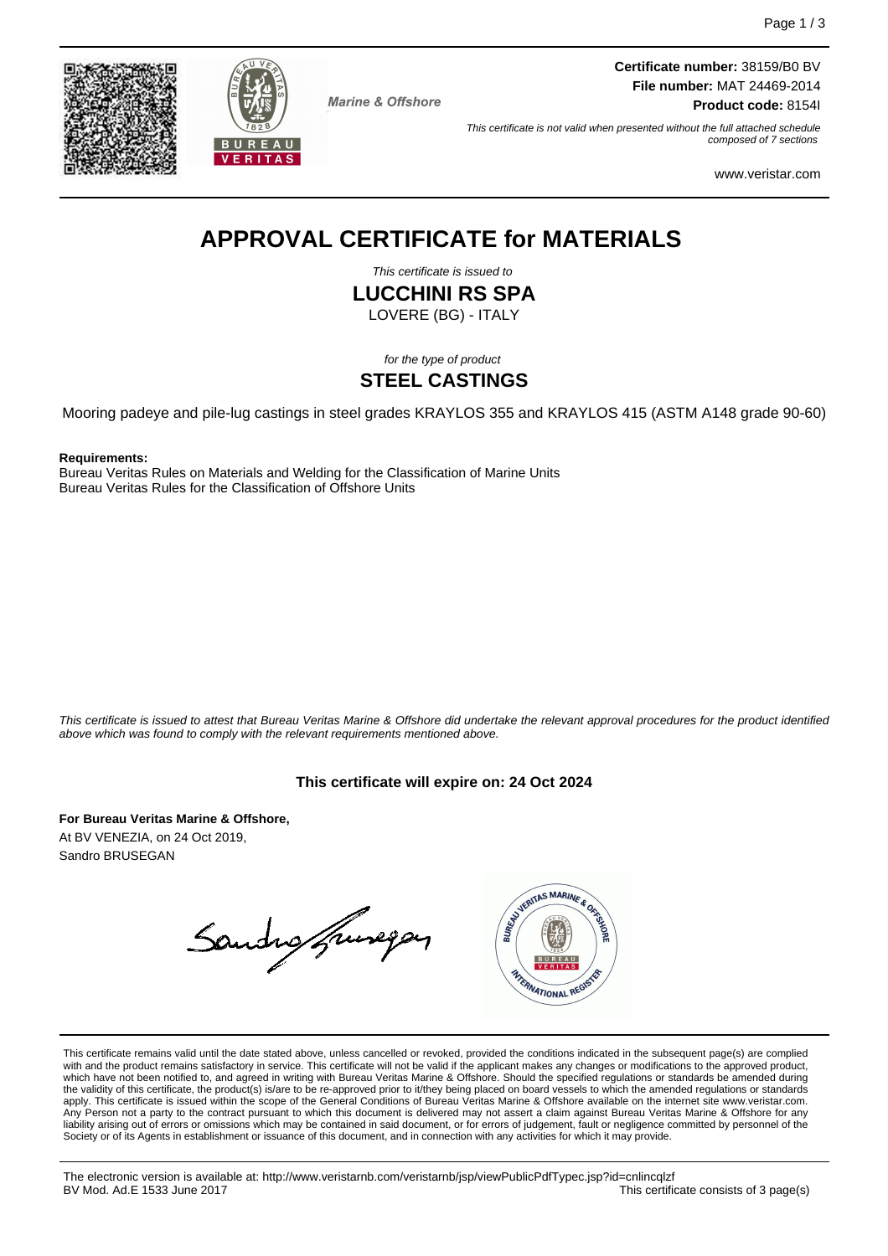



**Marine & Offshore** 

**Certificate number:** 38159/B0 BV **File number:** MAT 24469-2014 **Product code:** 8154I

This certificate is not valid when presented without the full attached schedule composed of 7 sections

www.veristar.com

# **APPROVAL CERTIFICATE for MATERIALS**

This certificate is issued to

**LUCCHINI RS SPA**

LOVERE (BG) - ITALY

for the type of product

### **STEEL CASTINGS**

Mooring padeye and pile-lug castings in steel grades KRAYLOS 355 and KRAYLOS 415 (ASTM A148 grade 90-60)

**Requirements:**

Bureau Veritas Rules on Materials and Welding for the Classification of Marine Units Bureau Veritas Rules for the Classification of Offshore Units

This certificate is issued to attest that Bureau Veritas Marine & Offshore did undertake the relevant approval procedures for the product identified above which was found to comply with the relevant requirements mentioned above.

#### **This certificate will expire on: 24 Oct 2024**

**For Bureau Veritas Marine & Offshore,** At BV VENEZIA, on 24 Oct 2019, Sandro BRUSEGAN

Sandro francopas



This certificate remains valid until the date stated above, unless cancelled or revoked, provided the conditions indicated in the subsequent page(s) are complied with and the product remains satisfactory in service. This certificate will not be valid if the applicant makes any changes or modifications to the approved product,<br>which have not been notified to, and agreed in writing w apply. This certificate is issued within the scope of the General Conditions of Bureau Veritas Marine & Offshore available on the internet site www.veristar.com. .<br>Person not a party to the contract pursuant to which this document is delivered may not assert a claim against Bureau Veritas Marine & Offshore for any liability arising out of errors or omissions which may be contained in said document, or for errors of judgement, fault or negligence committed by personnel of the Society or of its Agents in establishment or issuance of this document, and in connection with any activities for which it may provide.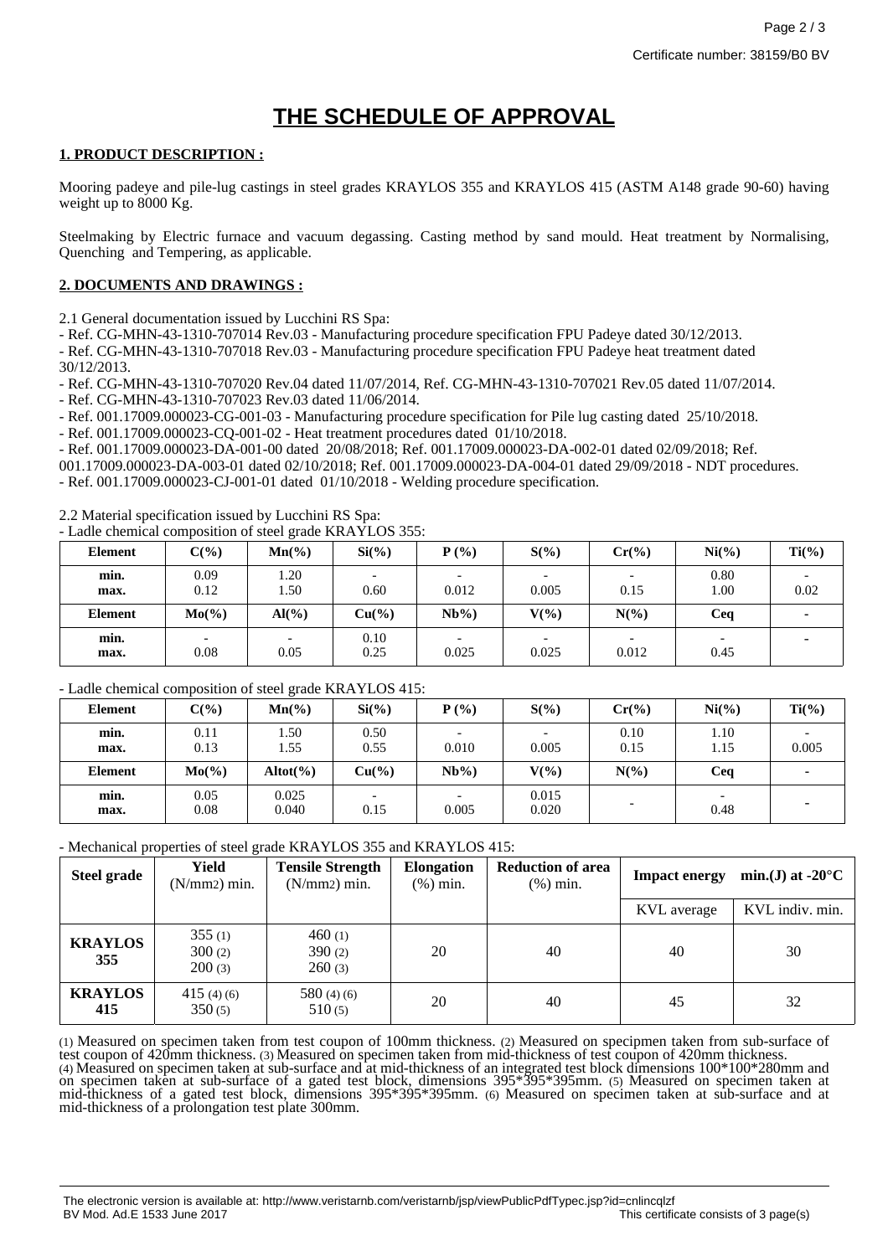## **THE SCHEDULE OF APPROVAL**

#### **1. PRODUCT DESCRIPTION :**

Mooring padeye and pile-lug castings in steel grades KRAYLOS 355 and KRAYLOS 415 (ASTM A148 grade 90-60) having weight up to 8000 Kg.

Steelmaking by Electric furnace and vacuum degassing. Casting method by sand mould. Heat treatment by Normalising, Quenching and Tempering, as applicable.

#### **2. DOCUMENTS AND DRAWINGS :**

2.1 General documentation issued by Lucchini RS Spa:

- Ref. CG-MHN-43-1310-707014 Rev.03 - Manufacturing procedure specification FPU Padeye dated 30/12/2013.

- Ref. CG-MHN-43-1310-707018 Rev.03 - Manufacturing procedure specification FPU Padeye heat treatment dated 30/12/2013.

- Ref. CG-MHN-43-1310-707020 Rev.04 dated 11/07/2014, Ref. CG-MHN-43-1310-707021 Rev.05 dated 11/07/2014.

- Ref. CG-MHN-43-1310-707023 Rev.03 dated 11/06/2014.

- Ref. 001.17009.000023-CG-001-03 - Manufacturing procedure specification for Pile lug casting dated 25/10/2018.

- Ref. 001.17009.000023-CQ-001-02 - Heat treatment procedures dated 01/10/2018.

- Ref. 001.17009.000023-DA-001-00 dated 20/08/2018; Ref. 001.17009.000023-DA-002-01 dated 02/09/2018; Ref.

001.17009.000023-DA-003-01 dated 02/10/2018; Ref. 001.17009.000023-DA-004-01 dated 29/09/2018 - NDT procedures. - Ref. 001.17009.000023-CJ-001-01 dated 01/10/2018 - Welding procedure specification.

2.2 Material specification issued by Lucchini RS Spa:

- Ladle chemical composition of steel grade KRAYLOS 355:

| <b>Element</b> | $C(\%)$      | -- <del>-</del> ----- ---<br>$Mn(\%)$ | $Si(\%)$        | $P(\%)$                           | $S(\%)$                           | $Cr(\%)$                          | $Ni(\%)$                         | $Ti(\%)$ |
|----------------|--------------|---------------------------------------|-----------------|-----------------------------------|-----------------------------------|-----------------------------------|----------------------------------|----------|
| min.<br>max.   | 0.09<br>0.12 | 1.20<br>1.50                          | 0.60            | $\overline{\phantom{0}}$<br>0.012 | $\overline{\phantom{0}}$<br>0.005 | $\overline{\phantom{0}}$<br>0.15  | 0.80<br>1.00                     | 0.02     |
| <b>Element</b> | $Mo(\% )$    | $\mathrm{Al}(\%)$                     | $Cu(^{9}/_{0})$ | $Nb\%$ )                          | $V(\%)$                           | $N(\%)$                           | Ceq                              |          |
| min.<br>max.   | 0.08         | 0.05                                  | 0.10<br>0.25    | $\overline{\phantom{0}}$<br>0.025 | $\overline{\phantom{0}}$<br>0.025 | $\overline{\phantom{0}}$<br>0.012 | $\overline{\phantom{0}}$<br>0.45 |          |

#### - Ladle chemical composition of steel grade KRAYLOS 415:

| <b>Element</b> | $C(\%)$      | $\tilde{}$<br>$Mn(\%)$ | $Si(\%)$        | $P(\%)$  | $S(\%)$                           | $Cr(\%)$                 | $Ni(\%)$     | $Ti(\%)$ |
|----------------|--------------|------------------------|-----------------|----------|-----------------------------------|--------------------------|--------------|----------|
| min.<br>max.   | 0.11<br>0.13 | 1.50<br>1.55           | 0.50<br>0.55    | 0.010    | $\overline{\phantom{0}}$<br>0.005 | 0.10<br>0.15             | 1.10<br>1.15 | 0.005    |
| <b>Element</b> | $Mo(\%)$     | $Altot(\% )$           | $Cu(^{9}/_{0})$ | $Nb\%$ ) | $V(\%)$                           | $N(\%)$                  | Ceq          |          |
| min.<br>max.   | 0.05<br>0.08 | 0.025<br>0.040         | 0.15            | 0.005    | 0.015<br>0.020                    | $\overline{\phantom{0}}$ | 0.48         |          |

#### - Mechanical properties of steel grade KRAYLOS 355 and KRAYLOS 415:

| <b>Steel grade</b>    | Yield<br>(N/mm2) min.      | <b>Tensile Strength</b><br>(N/mm2) min. | <b>Elongation</b><br>$(\%)$ min. | <b>Reduction of area</b><br>$(\%)$ min. | <b>Impact energy</b> | min.(J) at -20 $^{\circ}$ C |
|-----------------------|----------------------------|-----------------------------------------|----------------------------------|-----------------------------------------|----------------------|-----------------------------|
|                       |                            |                                         |                                  |                                         | KVL average          | KVL indiv. min.             |
| <b>KRAYLOS</b><br>355 | 355(1)<br>300(2)<br>200(3) | 460(1)<br>390(2)<br>260(3)              | 20                               | 40                                      | 40                   | 30                          |
| <b>KRAYLOS</b><br>415 | 415 (4) (6)<br>350(5)      | 580 $(4)(6)$<br>510(5)                  | 20                               | 40                                      | 45                   | 32                          |

(1) Measured on specimen taken from test coupon of 100mm thickness. (2) Measured on specipmen taken from sub-surface of test coupon of 420mm thickness. (3) Measured on specimen taken from mid-thickness of test coupon of 420mm thickness. (4) Measured on specimen taken at sub-surface and at mid-thickness of an integrated test block dimensions 100\*100\*280mm and on specimen taken at sub-surface of a gated test block, dimensions 395\*395\*395mm. (5) Measured on specimen taken at mid-thickness of a gated test block, dimensions 395\*395\*395mm. (6) Measured on specimen taken at sub-surface and at mid-thickness of a prolongation test plate 300mm.